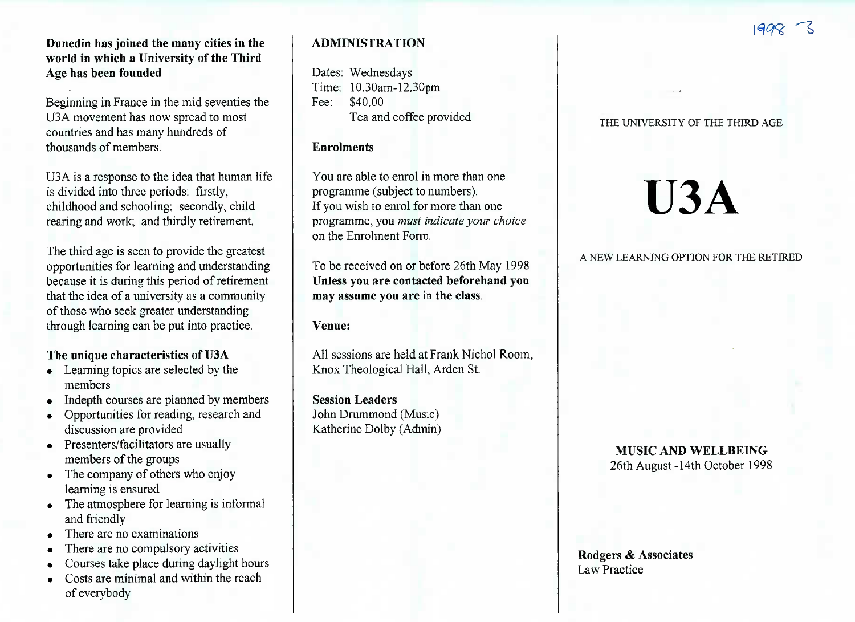## **Dunedin has joined the many cities in the world in which a University of the ThirdAge has been founded**

Beginning in France in the mid seventies theU3A movement has now spread to mostcountries and has many hundreds ofthousands of members.

U3A is a response to the idea that human lifeis divided into three periods: firstly, childhood and schooling; secondly, childrearing and work; and thirdly retirement.

The third age is seen to provide the greatest opportunities for learning and understanding because it is during this period of retirement that the idea of a university as a communityof those who seek greater understandingthrough learning can be put into practice.

## **The unique characteristics of U3A**

- Learning topics are selected by the members
- Indepth courses are planned by members
- Opportunities for reading, research anddiscussion are provided
- Presenters/facilitators are usually members of the groups
- The company of others who enjoylearning is ensured
- The atmosphere for learning is informal and friendly
- There are no examinations
- There are no compulsory activities
- Courses take place during daylight hours
- Costs are minimal and within the reachof everybody

## **ADMINISTRATION**

Dates: Wednesdays Time: 10.30am-12.30pmFee: \$40.00Tea and coffee provided

## **Enrolments**

You are able to enrol in more than oneprogramme (subject to numbers). If you wish to enrol for more than one programme, you *must indicate your choice*on the Enrolment Form.

To be received on or before 26th May 1998 **Unless you are contacted beforehand youmay assume you are in the class.**

**Venue:**

All sessions are held at Frank Nichol Room,Knox Theological Hall, Arden St.

**Session Leaders** John Drummond (Music)Katherine Dolby (Admin)

#### THE UNIVERSITY OF THE THIRD AGE

# **U3A**

### A NEW LEARNING OPTION FOR THE RETIRED

## **MUSIC AND WELLBEING**26th August -14th October 1998

**Rodgers & Associates**Law Practice